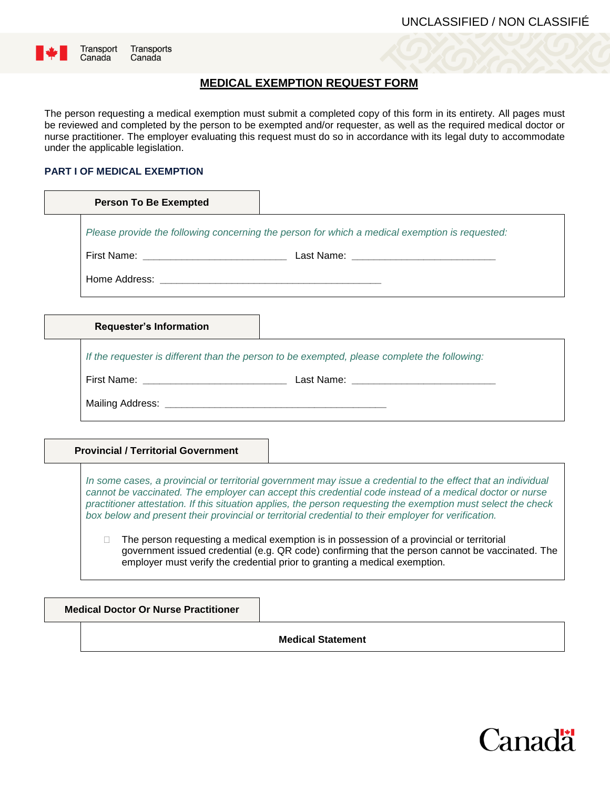

Transports Canada

## **MEDICAL EXEMPTION REQUEST FORM**

The person requesting a medical exemption must submit a completed copy of this form in its entirety. All pages must be reviewed and completed by the person to be exempted and/or requester, as well as the required medical doctor or nurse practitioner. The employer evaluating this request must do so in accordance with its legal duty to accommodate under the applicable legislation.

#### **PART I OF MEDICAL EXEMPTION**

| <b>Person To Be Exempted</b>                                                                 |                                                                                                |
|----------------------------------------------------------------------------------------------|------------------------------------------------------------------------------------------------|
|                                                                                              | Please provide the following concerning the person for which a medical exemption is requested: |
|                                                                                              |                                                                                                |
|                                                                                              |                                                                                                |
|                                                                                              |                                                                                                |
| <b>Requester's Information</b>                                                               |                                                                                                |
| If the requester is different than the person to be exempted, please complete the following: |                                                                                                |
|                                                                                              |                                                                                                |
|                                                                                              |                                                                                                |
|                                                                                              |                                                                                                |

#### **Provincial / Territorial Government**

*In some cases, a provincial or territorial government may issue a credential to the effect that an individual cannot be vaccinated. The employer can accept this credential code instead of a medical doctor or nurse practitioner attestation. If this situation applies, the person requesting the exemption must select the check box below and present their provincial or territorial credential to their employer for verification.*

 $\Box$  The person requesting a medical exemption is in possession of a provincial or territorial government issued credential (e.g. QR code) confirming that the person cannot be vaccinated. The employer must verify the credential prior to granting a medical exemption.

**Medical Doctor Or Nurse Practitioner**

**Medical Statement**

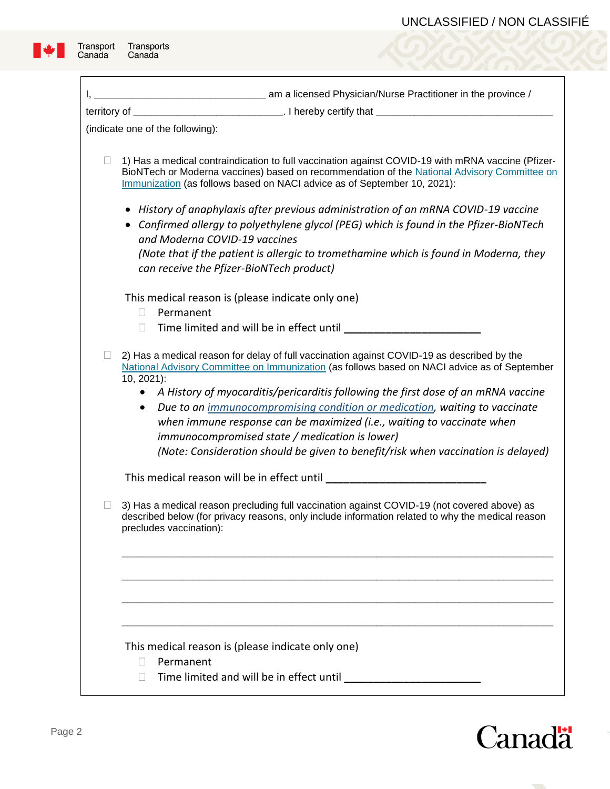٦



| (indicate one of the following):                                                                                                                                                                                                                                                                                                                                                                                                                                                                                                                                                                     |
|------------------------------------------------------------------------------------------------------------------------------------------------------------------------------------------------------------------------------------------------------------------------------------------------------------------------------------------------------------------------------------------------------------------------------------------------------------------------------------------------------------------------------------------------------------------------------------------------------|
| 1) Has a medical contraindication to full vaccination against COVID-19 with mRNA vaccine (Pfizer-<br>BioNTech or Moderna vaccines) based on recommendation of the National Advisory Committee on<br>Immunization (as follows based on NACI advice as of September 10, 2021):                                                                                                                                                                                                                                                                                                                         |
| History of anaphylaxis after previous administration of an mRNA COVID-19 vaccine<br>Confirmed allergy to polyethylene glycol (PEG) which is found in the Pfizer-BioNTech<br>and Moderna COVID-19 vaccines                                                                                                                                                                                                                                                                                                                                                                                            |
| (Note that if the patient is allergic to tromethamine which is found in Moderna, they<br>can receive the Pfizer-BioNTech product)                                                                                                                                                                                                                                                                                                                                                                                                                                                                    |
| This medical reason is (please indicate only one)<br>Permanent<br>$\Box$                                                                                                                                                                                                                                                                                                                                                                                                                                                                                                                             |
| Time limited and will be in effect until ____<br>□                                                                                                                                                                                                                                                                                                                                                                                                                                                                                                                                                   |
| 2) Has a medical reason for delay of full vaccination against COVID-19 as described by the<br>National Advisory Committee on Immunization (as follows based on NACI advice as of September<br>10, 2021):<br>A History of myocarditis/pericarditis following the first dose of an mRNA vaccine<br>Due to an <i>immunocompromising condition or medication</i> , waiting to vaccinate<br>when immune response can be maximized (i.e., waiting to vaccinate when<br>immunocompromised state / medication is lower)<br>(Note: Consideration should be given to benefit/risk when vaccination is delayed) |
| This medical reason will be in effect until                                                                                                                                                                                                                                                                                                                                                                                                                                                                                                                                                          |
| 3) Has a medical reason precluding full vaccination against COVID-19 (not covered above) as<br>described below (for privacy reasons, only include information related to why the medical reason<br>precludes vaccination):                                                                                                                                                                                                                                                                                                                                                                           |
|                                                                                                                                                                                                                                                                                                                                                                                                                                                                                                                                                                                                      |
|                                                                                                                                                                                                                                                                                                                                                                                                                                                                                                                                                                                                      |
| This medical reason is (please indicate only one)<br>Permanent                                                                                                                                                                                                                                                                                                                                                                                                                                                                                                                                       |
| Time limited and will be in effect until<br>ĪΤ                                                                                                                                                                                                                                                                                                                                                                                                                                                                                                                                                       |

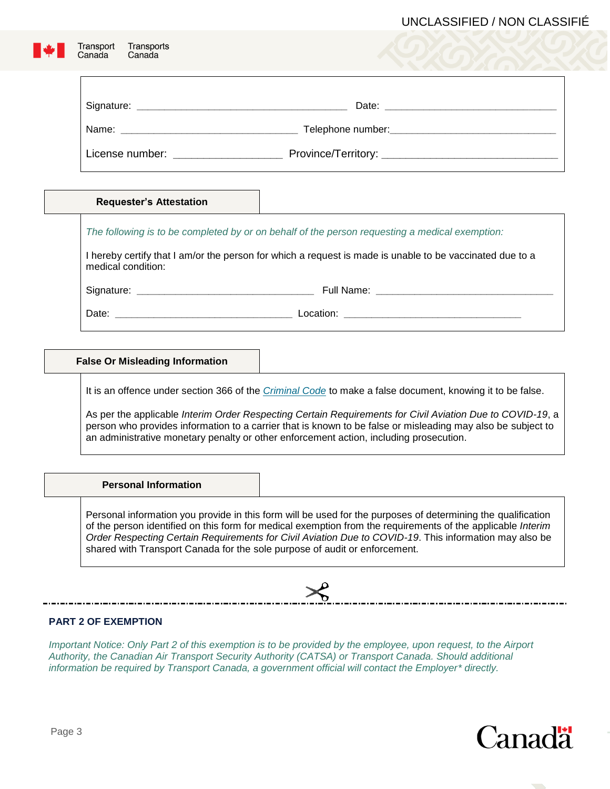## UNCLASSIFIED / NON CLASSIFIÉ

| <b>Requester's Attestation</b> |                                                                                                          |
|--------------------------------|----------------------------------------------------------------------------------------------------------|
|                                | The following is to be completed by or on behalf of the person requesting a medical exemption:           |
| medical condition:             | I hereby certify that I am/or the person for which a request is made is unable to be vaccinated due to a |
|                                |                                                                                                          |
|                                |                                                                                                          |

As per the applicable *Interim Order Respecting Certain Requirements for Civil Aviation Due to COVID-19*, a person who provides information to a carrier that is known to be false or misleading may also be subject to an administrative monetary penalty or other enforcement action, including prosecution.

**Personal Information**

Personal information you provide in this form will be used for the purposes of determining the qualification of the person identified on this form for medical exemption from the requirements of the applicable *Interim Order Respecting Certain Requirements for Civil Aviation Due to COVID-19*. This information may also be shared with Transport Canada for the sole purpose of audit or enforcement.



### **PART 2 OF EXEMPTION**

*Important Notice: Only Part 2 of this exemption is to be provided by the employee, upon request, to the Airport Authority, the Canadian Air Transport Security Authority (CATSA) or Transport Canada. Should additional information be required by Transport Canada, a government official will contact the Employer\* directly.*